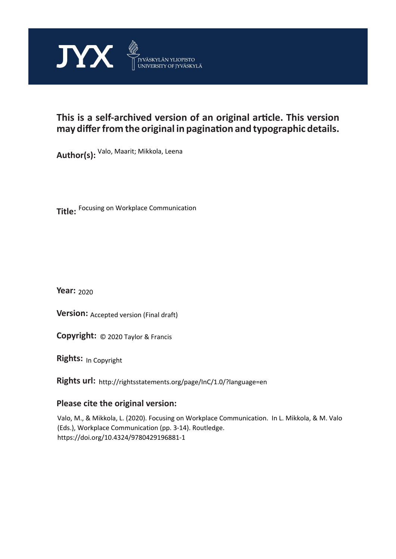

# **This is a self-archived version of an original article. This version may differ from the original in pagination and typographic details.**

**Author(s):**  Valo, Maarit; Mikkola, Leena

**Title:**  Focusing on Workplace Communication

**Year:**  2020

**Version: Accepted version (Final draft)** 

**Version:** Accepted version (Final draft)<br>**Copyright:** © 2020 Taylor & Francis

**Rights:** In Copyright

**Rights url:**  http://rightsstatements.org/page/InC/1.0/?language=en

# **Please cite the original version:**

Valo, M., & Mikkola, L. (2020). Focusing on Workplace Communication. In L. Mikkola, & M. Valo (Eds.), Workplace Communication (pp. 3-14). Routledge. https://doi.org/10.4324/9780429196881-1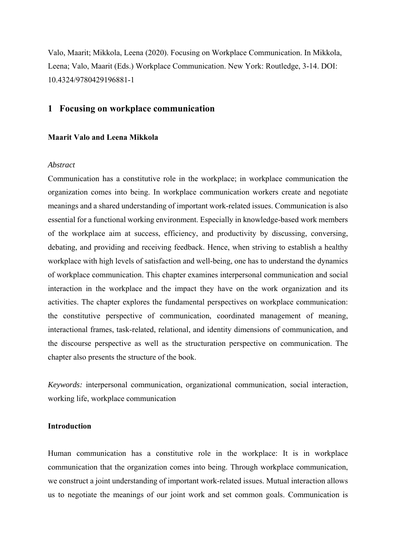Valo, Maarit; Mikkola, Leena (2020). Focusing on Workplace Communication. In Mikkola, Leena; Valo, Maarit (Eds.) Workplace Communication. New York: Routledge, 3-14. DOI: 10.4324/9780429196881-1

# **1 Focusing on workplace communication**

## **Maarit Valo and Leena Mikkola**

#### *Abstract*

Communication has a constitutive role in the workplace; in workplace communication the organization comes into being. In workplace communication workers create and negotiate meanings and a shared understanding of important work-related issues. Communication is also essential for a functional working environment. Especially in knowledge-based work members of the workplace aim at success, efficiency, and productivity by discussing, conversing, debating, and providing and receiving feedback. Hence, when striving to establish a healthy workplace with high levels of satisfaction and well-being, one has to understand the dynamics of workplace communication. This chapter examines interpersonal communication and social interaction in the workplace and the impact they have on the work organization and its activities. The chapter explores the fundamental perspectives on workplace communication: the constitutive perspective of communication, coordinated management of meaning, interactional frames, task-related, relational, and identity dimensions of communication, and the discourse perspective as well as the structuration perspective on communication. The chapter also presents the structure of the book.

*Keywords:* interpersonal communication, organizational communication, social interaction, working life, workplace communication

# **Introduction**

Human communication has a constitutive role in the workplace: It is in workplace communication that the organization comes into being. Through workplace communication, we construct a joint understanding of important work-related issues. Mutual interaction allows us to negotiate the meanings of our joint work and set common goals. Communication is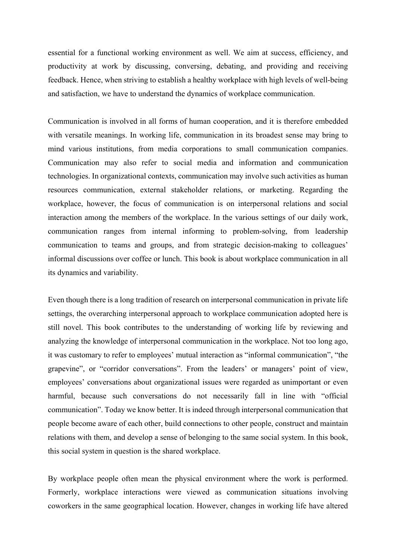essential for a functional working environment as well. We aim at success, efficiency, and productivity at work by discussing, conversing, debating, and providing and receiving feedback. Hence, when striving to establish a healthy workplace with high levels of well-being and satisfaction, we have to understand the dynamics of workplace communication.

Communication is involved in all forms of human cooperation, and it is therefore embedded with versatile meanings. In working life, communication in its broadest sense may bring to mind various institutions, from media corporations to small communication companies. Communication may also refer to social media and information and communication technologies. In organizational contexts, communication may involve such activities as human resources communication, external stakeholder relations, or marketing. Regarding the workplace, however, the focus of communication is on interpersonal relations and social interaction among the members of the workplace. In the various settings of our daily work, communication ranges from internal informing to problem-solving, from leadership communication to teams and groups, and from strategic decision-making to colleagues' informal discussions over coffee or lunch. This book is about workplace communication in all its dynamics and variability.

Even though there is a long tradition of research on interpersonal communication in private life settings, the overarching interpersonal approach to workplace communication adopted here is still novel. This book contributes to the understanding of working life by reviewing and analyzing the knowledge of interpersonal communication in the workplace. Not too long ago, it was customary to refer to employees' mutual interaction as "informal communication", "the grapevine", or "corridor conversations". From the leaders' or managers' point of view, employees' conversations about organizational issues were regarded as unimportant or even harmful, because such conversations do not necessarily fall in line with "official communication". Today we know better. It is indeed through interpersonal communication that people become aware of each other, build connections to other people, construct and maintain relations with them, and develop a sense of belonging to the same social system. In this book, this social system in question is the shared workplace.

By workplace people often mean the physical environment where the work is performed. Formerly, workplace interactions were viewed as communication situations involving coworkers in the same geographical location. However, changes in working life have altered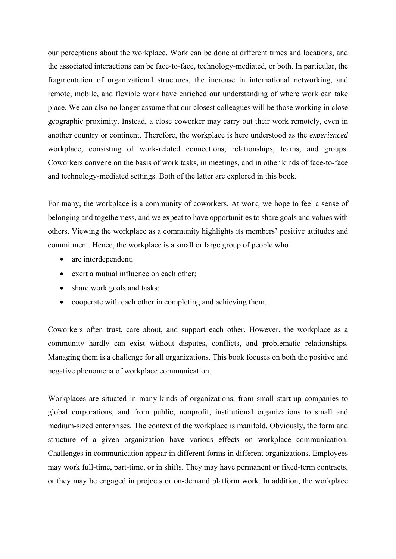our perceptions about the workplace. Work can be done at different times and locations, and the associated interactions can be face-to-face, technology-mediated, or both. In particular, the fragmentation of organizational structures, the increase in international networking, and remote, mobile, and flexible work have enriched our understanding of where work can take place. We can also no longer assume that our closest colleagues will be those working in close geographic proximity. Instead, a close coworker may carry out their work remotely, even in another country or continent. Therefore, the workplace is here understood as the *experienced* workplace, consisting of work-related connections, relationships, teams, and groups. Coworkers convene on the basis of work tasks, in meetings, and in other kinds of face-to-face and technology-mediated settings. Both of the latter are explored in this book.

For many, the workplace is a community of coworkers. At work, we hope to feel a sense of belonging and togetherness, and we expect to have opportunities to share goals and values with others. Viewing the workplace as a community highlights its members' positive attitudes and commitment. Hence, the workplace is a small or large group of people who

- are interdependent;
- exert a mutual influence on each other;
- share work goals and tasks;
- cooperate with each other in completing and achieving them.

Coworkers often trust, care about, and support each other. However, the workplace as a community hardly can exist without disputes, conflicts, and problematic relationships. Managing them is a challenge for all organizations. This book focuses on both the positive and negative phenomena of workplace communication.

Workplaces are situated in many kinds of organizations, from small start-up companies to global corporations, and from public, nonprofit, institutional organizations to small and medium-sized enterprises. The context of the workplace is manifold. Obviously, the form and structure of a given organization have various effects on workplace communication. Challenges in communication appear in different forms in different organizations. Employees may work full-time, part-time, or in shifts. They may have permanent or fixed-term contracts, or they may be engaged in projects or on-demand platform work. In addition, the workplace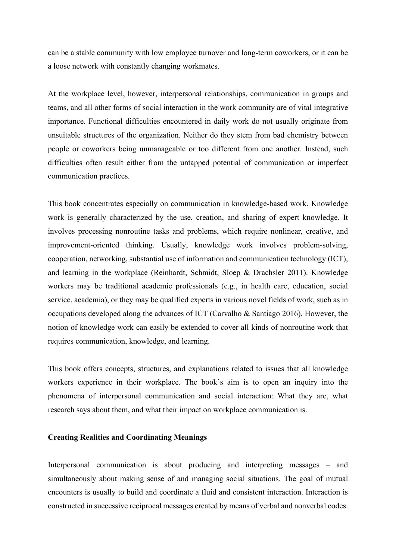can be a stable community with low employee turnover and long-term coworkers, or it can be a loose network with constantly changing workmates.

At the workplace level, however, interpersonal relationships, communication in groups and teams, and all other forms of social interaction in the work community are of vital integrative importance. Functional difficulties encountered in daily work do not usually originate from unsuitable structures of the organization. Neither do they stem from bad chemistry between people or coworkers being unmanageable or too different from one another. Instead, such difficulties often result either from the untapped potential of communication or imperfect communication practices.

This book concentrates especially on communication in knowledge-based work. Knowledge work is generally characterized by the use, creation, and sharing of expert knowledge. It involves processing nonroutine tasks and problems, which require nonlinear, creative, and improvement-oriented thinking. Usually, knowledge work involves problem-solving, cooperation, networking, substantial use of information and communication technology (ICT), and learning in the workplace (Reinhardt, Schmidt, Sloep & Drachsler 2011). Knowledge workers may be traditional academic professionals (e.g., in health care, education, social service, academia), or they may be qualified experts in various novel fields of work, such as in occupations developed along the advances of ICT (Carvalho & Santiago 2016). However, the notion of knowledge work can easily be extended to cover all kinds of nonroutine work that requires communication, knowledge, and learning.

This book offers concepts, structures, and explanations related to issues that all knowledge workers experience in their workplace. The book's aim is to open an inquiry into the phenomena of interpersonal communication and social interaction: What they are, what research says about them, and what their impact on workplace communication is.

# **Creating Realities and Coordinating Meanings**

Interpersonal communication is about producing and interpreting messages – and simultaneously about making sense of and managing social situations. The goal of mutual encounters is usually to build and coordinate a fluid and consistent interaction. Interaction is constructed in successive reciprocal messages created by means of verbal and nonverbal codes.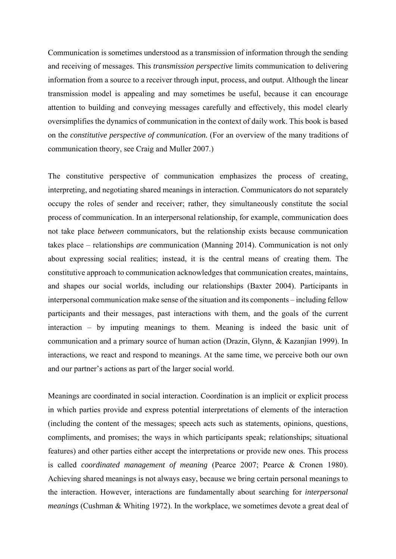Communication is sometimes understood as a transmission of information through the sending and receiving of messages. This *transmission perspective* limits communication to delivering information from a source to a receiver through input, process, and output. Although the linear transmission model is appealing and may sometimes be useful, because it can encourage attention to building and conveying messages carefully and effectively, this model clearly oversimplifies the dynamics of communication in the context of daily work. This book is based on the *constitutive perspective of communication.* (For an overview of the many traditions of communication theory, see Craig and Muller 2007.)

The constitutive perspective of communication emphasizes the process of creating, interpreting, and negotiating shared meanings in interaction. Communicators do not separately occupy the roles of sender and receiver; rather, they simultaneously constitute the social process of communication. In an interpersonal relationship, for example, communication does not take place *between* communicators, but the relationship exists because communication takes place – relationships *are* communication (Manning 2014). Communication is not only about expressing social realities; instead, it is the central means of creating them. The constitutive approach to communication acknowledges that communication creates, maintains, and shapes our social worlds, including our relationships (Baxter 2004). Participants in interpersonal communication make sense of the situation and its components – including fellow participants and their messages, past interactions with them, and the goals of the current interaction – by imputing meanings to them. Meaning is indeed the basic unit of communication and a primary source of human action (Drazin, Glynn, & Kazanjian 1999). In interactions, we react and respond to meanings. At the same time, we perceive both our own and our partner's actions as part of the larger social world.

Meanings are coordinated in social interaction. Coordination is an implicit or explicit process in which parties provide and express potential interpretations of elements of the interaction (including the content of the messages; speech acts such as statements, opinions, questions, compliments, and promises; the ways in which participants speak; relationships; situational features) and other parties either accept the interpretations or provide new ones. This process is called *coordinated management of meaning* (Pearce 2007; Pearce & Cronen 1980). Achieving shared meanings is not always easy, because we bring certain personal meanings to the interaction. However, interactions are fundamentally about searching for *interpersonal meanings* (Cushman & Whiting 1972). In the workplace, we sometimes devote a great deal of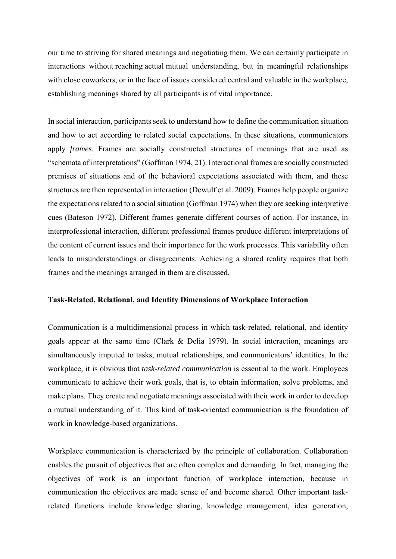our time to striving for shared meanings and negotiating them. We can certainly participate in interactions without reaching actual mutual understanding, but in meaningful relationships with close coworkers, or in the face of issues considered central and valuable in the workplace, establishing meanings shared by all participants is of vital importance.

In social interaction, participants seek to understand how to define the communication situation and how to act according to related social expectations. In these situations, communicators apply *frames*. Frames are socially constructed structures of meanings that are used as "schemata of interpretations" (Goffman 1974, 21). Interactional frames are socially constructed premises of situations and of the behavioral expectations associated with them, and these structures are then represented in interaction (Dewulf et al. 2009). Frames help people organize the expectations related to a social situation (Goffman 1974) when they are seeking interpretive cues (Bateson 1972). Different frames generate different courses of action. For instance, in interprofessional interaction, different professional frames produce different interpretations of the content of current issues and their importance for the work processes. This variability often leads to misunderstandings or disagreements. Achieving a shared reality requires that both frames and the meanings arranged in them are discussed.

#### **Task-Related, Relational, and Identity Dimensions of Workplace Interaction**

Communication is a multidimensional process in which task-related, relational, and identity goals appear at the same time (Clark & Delia 1979). In social interaction, meanings are simultaneously imputed to tasks, mutual relationships, and communicators' identities. In the workplace, it is obvious that *task-related communication* is essential to the work. Employees communicate to achieve their work goals, that is, to obtain information, solve problems, and make plans. They create and negotiate meanings associated with their work in order to develop a mutual understanding of it. This kind of task-oriented communication is the foundation of work in knowledge-based organizations.

Workplace communication is characterized by the principle of collaboration. Collaboration enables the pursuit of objectives that are often complex and demanding. In fact, managing the objectives of work is an important function of workplace interaction, because in communication the objectives are made sense of and become shared. Other important taskrelated functions include knowledge sharing, knowledge management, idea generation,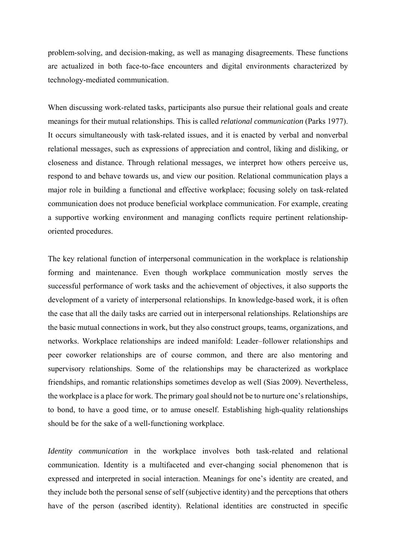problem-solving, and decision-making, as well as managing disagreements. These functions are actualized in both face-to-face encounters and digital environments characterized by technology-mediated communication.

When discussing work-related tasks, participants also pursue their relational goals and create meanings for their mutual relationships. This is called *relational communication* (Parks 1977). It occurs simultaneously with task-related issues, and it is enacted by verbal and nonverbal relational messages, such as expressions of appreciation and control, liking and disliking, or closeness and distance. Through relational messages, we interpret how others perceive us, respond to and behave towards us, and view our position. Relational communication plays a major role in building a functional and effective workplace; focusing solely on task-related communication does not produce beneficial workplace communication. For example, creating a supportive working environment and managing conflicts require pertinent relationshiporiented procedures.

The key relational function of interpersonal communication in the workplace is relationship forming and maintenance. Even though workplace communication mostly serves the successful performance of work tasks and the achievement of objectives, it also supports the development of a variety of interpersonal relationships. In knowledge-based work, it is often the case that all the daily tasks are carried out in interpersonal relationships. Relationships are the basic mutual connections in work, but they also construct groups, teams, organizations, and networks. Workplace relationships are indeed manifold: Leader–follower relationships and peer coworker relationships are of course common, and there are also mentoring and supervisory relationships. Some of the relationships may be characterized as workplace friendships, and romantic relationships sometimes develop as well (Sias 2009). Nevertheless, the workplace is a place for work. The primary goal should not be to nurture one's relationships, to bond, to have a good time, or to amuse oneself. Establishing high-quality relationships should be for the sake of a well-functioning workplace.

*Identity communication* in the workplace involves both task-related and relational communication. Identity is a multifaceted and ever-changing social phenomenon that is expressed and interpreted in social interaction. Meanings for one's identity are created, and they include both the personal sense of self (subjective identity) and the perceptions that others have of the person (ascribed identity). Relational identities are constructed in specific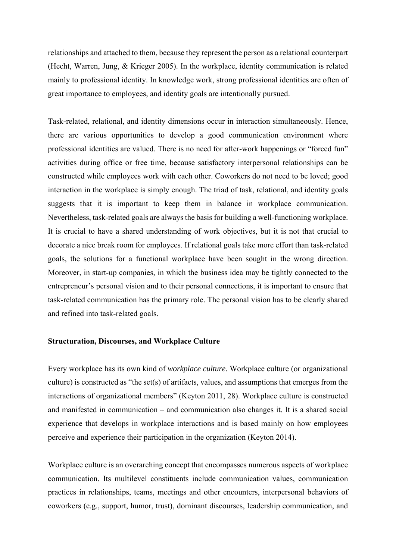relationships and attached to them, because they represent the person as a relational counterpart (Hecht, Warren, Jung, & Krieger 2005). In the workplace, identity communication is related mainly to professional identity. In knowledge work, strong professional identities are often of great importance to employees, and identity goals are intentionally pursued.

Task-related, relational, and identity dimensions occur in interaction simultaneously. Hence, there are various opportunities to develop a good communication environment where professional identities are valued. There is no need for after-work happenings or "forced fun" activities during office or free time, because satisfactory interpersonal relationships can be constructed while employees work with each other. Coworkers do not need to be loved; good interaction in the workplace is simply enough. The triad of task, relational, and identity goals suggests that it is important to keep them in balance in workplace communication. Nevertheless, task-related goals are always the basis for building a well-functioning workplace. It is crucial to have a shared understanding of work objectives, but it is not that crucial to decorate a nice break room for employees. If relational goals take more effort than task-related goals, the solutions for a functional workplace have been sought in the wrong direction. Moreover, in start-up companies, in which the business idea may be tightly connected to the entrepreneur's personal vision and to their personal connections, it is important to ensure that task-related communication has the primary role. The personal vision has to be clearly shared and refined into task-related goals.

#### **Structuration, Discourses, and Workplace Culture**

Every workplace has its own kind of *workplace culture*. Workplace culture (or organizational culture) is constructed as "the set(s) of artifacts, values, and assumptions that emerges from the interactions of organizational members" (Keyton 2011, 28). Workplace culture is constructed and manifested in communication – and communication also changes it. It is a shared social experience that develops in workplace interactions and is based mainly on how employees perceive and experience their participation in the organization (Keyton 2014).

Workplace culture is an overarching concept that encompasses numerous aspects of workplace communication. Its multilevel constituents include communication values, communication practices in relationships, teams, meetings and other encounters, interpersonal behaviors of coworkers (e.g., support, humor, trust), dominant discourses, leadership communication, and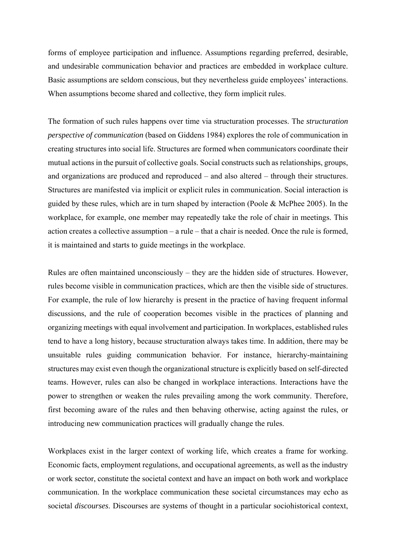forms of employee participation and influence. Assumptions regarding preferred, desirable, and undesirable communication behavior and practices are embedded in workplace culture. Basic assumptions are seldom conscious, but they nevertheless guide employees' interactions. When assumptions become shared and collective, they form implicit rules.

The formation of such rules happens over time via structuration processes. The *structuration perspective of communication* (based on Giddens 1984) explores the role of communication in creating structures into social life. Structures are formed when communicators coordinate their mutual actions in the pursuit of collective goals. Social constructs such as relationships, groups, and organizations are produced and reproduced – and also altered – through their structures. Structures are manifested via implicit or explicit rules in communication. Social interaction is guided by these rules, which are in turn shaped by interaction (Poole & McPhee 2005). In the workplace, for example, one member may repeatedly take the role of chair in meetings. This action creates a collective assumption – a rule – that a chair is needed. Once the rule is formed, it is maintained and starts to guide meetings in the workplace.

Rules are often maintained unconsciously – they are the hidden side of structures. However, rules become visible in communication practices, which are then the visible side of structures. For example, the rule of low hierarchy is present in the practice of having frequent informal discussions, and the rule of cooperation becomes visible in the practices of planning and organizing meetings with equal involvement and participation. In workplaces, established rules tend to have a long history, because structuration always takes time. In addition, there may be unsuitable rules guiding communication behavior. For instance, hierarchy-maintaining structures may exist even though the organizational structure is explicitly based on self-directed teams. However, rules can also be changed in workplace interactions. Interactions have the power to strengthen or weaken the rules prevailing among the work community. Therefore, first becoming aware of the rules and then behaving otherwise, acting against the rules, or introducing new communication practices will gradually change the rules.

Workplaces exist in the larger context of working life, which creates a frame for working. Economic facts, employment regulations, and occupational agreements, as well as the industry or work sector, constitute the societal context and have an impact on both work and workplace communication. In the workplace communication these societal circumstances may echo as societal *discourses*. Discourses are systems of thought in a particular sociohistorical context,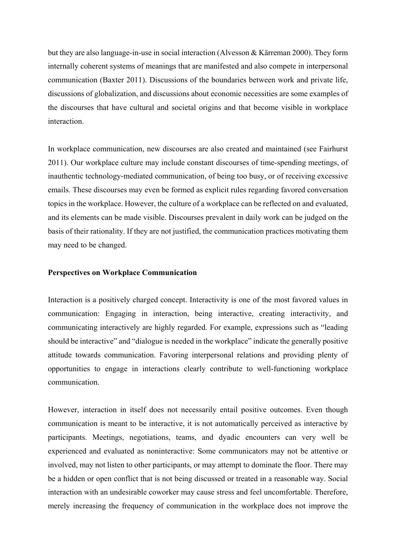but they are also language-in-use in social interaction (Alvesson & Kärreman 2000). They form internally coherent systems of meanings that are manifested and also compete in interpersonal communication (Baxter 2011). Discussions of the boundaries between work and private life, discussions of globalization, and discussions about economic necessities are some examples of the discourses that have cultural and societal origins and that become visible in workplace interaction.

In workplace communication, new discourses are also created and maintained (see Fairhurst 2011). Our workplace culture may include constant discourses of time-spending meetings, of inauthentic technology-mediated communication, of being too busy, or of receiving excessive emails. These discourses may even be formed as explicit rules regarding favored conversation topics in the workplace. However, the culture of a workplace can be reflected on and evaluated, and its elements can be made visible. Discourses prevalent in daily work can be judged on the basis of their rationality. If they are not justified, the communication practices motivating them may need to be changed.

# **Perspectives on Workplace Communication**

Interaction is a positively charged concept. Interactivity is one of the most favored values in communication: Engaging in interaction, being interactive, creating interactivity, and communicating interactively are highly regarded. For example, expressions such as "leading should be interactive" and "dialogue is needed in the workplace" indicate the generally positive attitude towards communication. Favoring interpersonal relations and providing plenty of opportunities to engage in interactions clearly contribute to well-functioning workplace communication.

However, interaction in itself does not necessarily entail positive outcomes. Even though communication is meant to be interactive, it is not automatically perceived as interactive by participants. Meetings, negotiations, teams, and dyadic encounters can very well be experienced and evaluated as noninteractive: Some communicators may not be attentive or involved, may not listen to other participants, or may attempt to dominate the floor. There may be a hidden or open conflict that is not being discussed or treated in a reasonable way. Social interaction with an undesirable coworker may cause stress and feel uncomfortable. Therefore, merely increasing the frequency of communication in the workplace does not improve the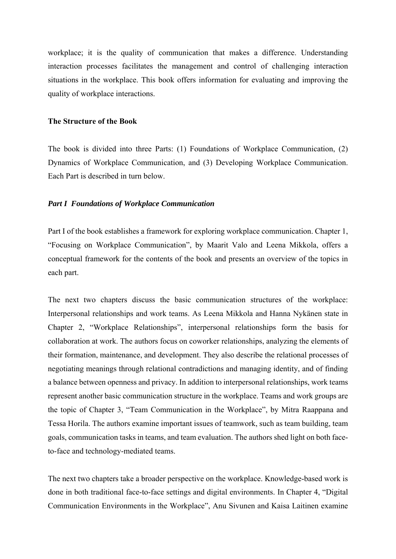workplace; it is the quality of communication that makes a difference. Understanding interaction processes facilitates the management and control of challenging interaction situations in the workplace. This book offers information for evaluating and improving the quality of workplace interactions.

#### **The Structure of the Book**

The book is divided into three Parts: (1) Foundations of Workplace Communication, (2) Dynamics of Workplace Communication, and (3) Developing Workplace Communication. Each Part is described in turn below.

#### *Part I Foundations of Workplace Communication*

Part I of the book establishes a framework for exploring workplace communication. Chapter 1, "Focusing on Workplace Communication", by Maarit Valo and Leena Mikkola, offers a conceptual framework for the contents of the book and presents an overview of the topics in each part.

The next two chapters discuss the basic communication structures of the workplace: Interpersonal relationships and work teams. As Leena Mikkola and Hanna Nykänen state in Chapter 2, "Workplace Relationships", interpersonal relationships form the basis for collaboration at work. The authors focus on coworker relationships, analyzing the elements of their formation, maintenance, and development. They also describe the relational processes of negotiating meanings through relational contradictions and managing identity, and of finding a balance between openness and privacy. In addition to interpersonal relationships, work teams represent another basic communication structure in the workplace. Teams and work groups are the topic of Chapter 3, "Team Communication in the Workplace", by Mitra Raappana and Tessa Horila. The authors examine important issues of teamwork, such as team building, team goals, communication tasks in teams, and team evaluation. The authors shed light on both faceto-face and technology-mediated teams.

The next two chapters take a broader perspective on the workplace. Knowledge-based work is done in both traditional face-to-face settings and digital environments. In Chapter 4, "Digital Communication Environments in the Workplace", Anu Sivunen and Kaisa Laitinen examine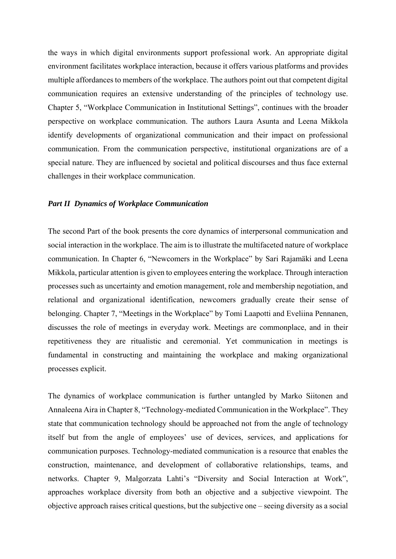the ways in which digital environments support professional work. An appropriate digital environment facilitates workplace interaction, because it offers various platforms and provides multiple affordances to members of the workplace. The authors point out that competent digital communication requires an extensive understanding of the principles of technology use. Chapter 5, "Workplace Communication in Institutional Settings", continues with the broader perspective on workplace communication. The authors Laura Asunta and Leena Mikkola identify developments of organizational communication and their impact on professional communication. From the communication perspective, institutional organizations are of a special nature. They are influenced by societal and political discourses and thus face external challenges in their workplace communication.

#### *Part II Dynamics of Workplace Communication*

The second Part of the book presents the core dynamics of interpersonal communication and social interaction in the workplace. The aim is to illustrate the multifaceted nature of workplace communication. In Chapter 6, "Newcomers in the Workplace" by Sari Rajamäki and Leena Mikkola, particular attention is given to employees entering the workplace. Through interaction processes such as uncertainty and emotion management, role and membership negotiation, and relational and organizational identification, newcomers gradually create their sense of belonging. Chapter 7, "Meetings in the Workplace" by Tomi Laapotti and Eveliina Pennanen, discusses the role of meetings in everyday work. Meetings are commonplace, and in their repetitiveness they are ritualistic and ceremonial. Yet communication in meetings is fundamental in constructing and maintaining the workplace and making organizational processes explicit.

The dynamics of workplace communication is further untangled by Marko Siitonen and Annaleena Aira in Chapter 8, "Technology-mediated Communication in the Workplace". They state that communication technology should be approached not from the angle of technology itself but from the angle of employees' use of devices, services, and applications for communication purposes. Technology-mediated communication is a resource that enables the construction, maintenance, and development of collaborative relationships, teams, and networks. Chapter 9, Malgorzata Lahti's "Diversity and Social Interaction at Work", approaches workplace diversity from both an objective and a subjective viewpoint. The objective approach raises critical questions, but the subjective one – seeing diversity as a social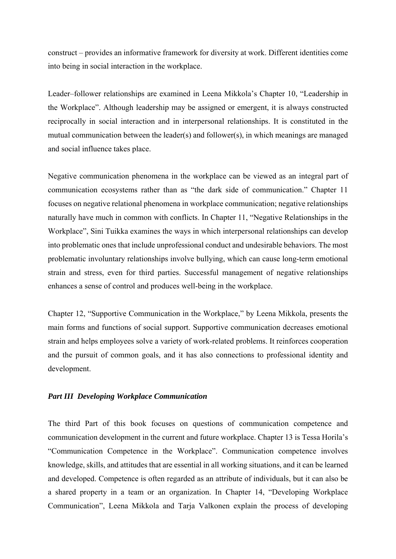construct – provides an informative framework for diversity at work. Different identities come into being in social interaction in the workplace.

Leader–follower relationships are examined in Leena Mikkola's Chapter 10, "Leadership in the Workplace". Although leadership may be assigned or emergent, it is always constructed reciprocally in social interaction and in interpersonal relationships. It is constituted in the mutual communication between the leader(s) and follower(s), in which meanings are managed and social influence takes place.

Negative communication phenomena in the workplace can be viewed as an integral part of communication ecosystems rather than as "the dark side of communication." Chapter 11 focuses on negative relational phenomena in workplace communication; negative relationships naturally have much in common with conflicts. In Chapter 11, "Negative Relationships in the Workplace", Sini Tuikka examines the ways in which interpersonal relationships can develop into problematic ones that include unprofessional conduct and undesirable behaviors. The most problematic involuntary relationships involve bullying, which can cause long-term emotional strain and stress, even for third parties. Successful management of negative relationships enhances a sense of control and produces well-being in the workplace.

Chapter 12, "Supportive Communication in the Workplace," by Leena Mikkola, presents the main forms and functions of social support. Supportive communication decreases emotional strain and helps employees solve a variety of work-related problems. It reinforces cooperation and the pursuit of common goals, and it has also connections to professional identity and development.

# *Part III Developing Workplace Communication*

The third Part of this book focuses on questions of communication competence and communication development in the current and future workplace. Chapter 13 is Tessa Horila's "Communication Competence in the Workplace". Communication competence involves knowledge, skills, and attitudes that are essential in all working situations, and it can be learned and developed. Competence is often regarded as an attribute of individuals, but it can also be a shared property in a team or an organization. In Chapter 14, "Developing Workplace Communication", Leena Mikkola and Tarja Valkonen explain the process of developing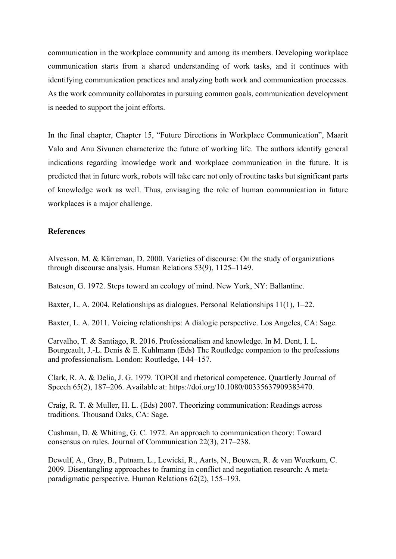communication in the workplace community and among its members. Developing workplace communication starts from a shared understanding of work tasks, and it continues with identifying communication practices and analyzing both work and communication processes. As the work community collaborates in pursuing common goals, communication development is needed to support the joint efforts.

In the final chapter, Chapter 15, "Future Directions in Workplace Communication", Maarit Valo and Anu Sivunen characterize the future of working life. The authors identify general indications regarding knowledge work and workplace communication in the future. It is predicted that in future work, robots will take care not only of routine tasks but significant parts of knowledge work as well. Thus, envisaging the role of human communication in future workplaces is a major challenge.

# **References**

Alvesson, M. & Kärreman, D. 2000. Varieties of discourse: On the study of organizations through discourse analysis. Human Relations 53(9), 1125–1149.

Bateson, G. 1972. Steps toward an ecology of mind. New York, NY: Ballantine.

Baxter, L. A. 2004. Relationships as dialogues. Personal Relationships 11(1), 1–22.

Baxter, L. A. 2011. Voicing relationships: A dialogic perspective. Los Angeles, CA: Sage.

Carvalho, T. & Santiago, R. 2016. Professionalism and knowledge. In M. Dent, I. L. Bourgeault, J.-L. Denis & E. Kuhlmann (Eds) The Routledge companion to the professions and professionalism. London: Routledge, 144–157.

Clark, R. A. & Delia, J. G. 1979. TOPOI and rhetorical competence. Quartlerly Journal of Speech 65(2), 187–206. Available at: https://doi.org/10.1080/00335637909383470.

Craig, R. T. & Muller, H. L. (Eds) 2007. Theorizing communication: Readings across traditions. Thousand Oaks, CA: Sage.

Cushman, D. & Whiting, G. C. 1972. An approach to communication theory: Toward consensus on rules. Journal of Communication 22(3), 217–238.

Dewulf, A., Gray, B., Putnam, L., Lewicki, R., Aarts, N., Bouwen, R. & van Woerkum, C. 2009. Disentangling approaches to framing in conflict and negotiation research: A metaparadigmatic perspective. Human Relations 62(2), 155–193.